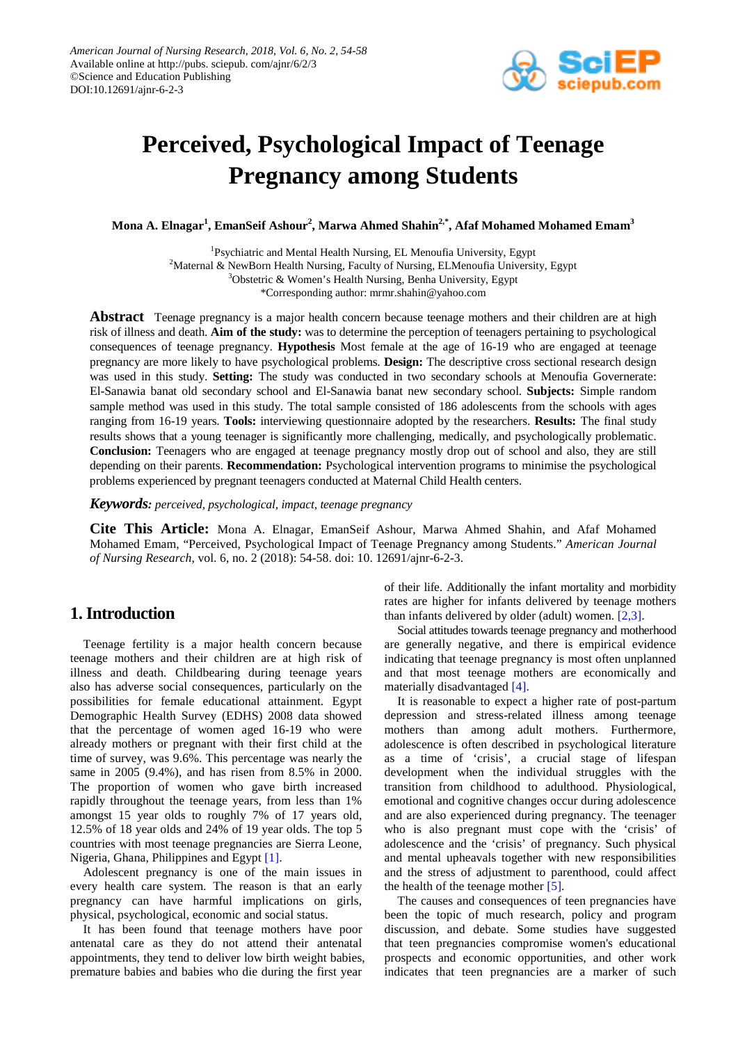

# **Perceived, Psychological Impact of Teenage Pregnancy among Students**

**Mona A. Elnagar<sup>1</sup> , EmanSeif Ashour<sup>2</sup> , Marwa Ahmed Shahin2,\*, Afaf Mohamed Mohamed Emam3**

<sup>1</sup>Psychiatric and Mental Health Nursing, EL Menoufia University, Egypt  $2$ Maternal & NewBorn Health Nursing, Faculty of Nursing, ELMenoufia University, Egypt <sup>3</sup>Obstetric & Women's Health Nursing, Benha University, Egypt \*Corresponding author: mrmr.shahin@yahoo.com

**Abstract** Teenage pregnancy is a major health concern because teenage mothers and their children are at high risk of illness and death. **Aim of the study:** was to determine the perception of teenagers pertaining to psychological consequences of teenage pregnancy. **Hypothesis** Most female at the age of 16-19 who are engaged at teenage pregnancy are more likely to have psychological problems. **Design:** The descriptive cross sectional research design was used in this study. **Setting:** The study was conducted in two secondary schools at Menoufia Governerate: El-Sanawia banat old secondary school and El-Sanawia banat new secondary school. **Subjects:** Simple random sample method was used in this study. The total sample consisted of 186 adolescents from the schools with ages ranging from 16-19 years. **Tools:** interviewing questionnaire adopted by the researchers. **Results:** The final study results shows that a young teenager is significantly more challenging, medically, and psychologically problematic. **Conclusion:** Teenagers who are engaged at teenage pregnancy mostly drop out of school and also, they are still depending on their parents. **Recommendation:** Psychological intervention programs to minimise the psychological problems experienced by pregnant teenagers conducted at Maternal Child Health centers.

*Keywords: perceived, psychological, impact, teenage pregnancy*

**Cite This Article:** Mona A. Elnagar, EmanSeif Ashour, Marwa Ahmed Shahin, and Afaf Mohamed Mohamed Emam, "Perceived, Psychological Impact of Teenage Pregnancy among Students." *American Journal of Nursing Research*, vol. 6, no. 2 (2018): 54-58. doi: 10. 12691/ajnr-6-2-3.

# **1. Introduction**

Teenage fertility is a major health concern because teenage mothers and their children are at high risk of illness and death. Childbearing during teenage years also has adverse social consequences, particularly on the possibilities for female educational attainment. Egypt Demographic Health Survey (EDHS) 2008 data showed that the percentage of women aged 16-19 who were already mothers or pregnant with their first child at the time of survey, was 9.6%. This percentage was nearly the same in 2005 (9.4%), and has risen from 8.5% in 2000. The proportion of women who gave birth increased rapidly throughout the teenage years, from less than 1% amongst 15 year olds to roughly 7% of 17 years old, 12.5% of 18 year olds and 24% of 19 year olds. The top 5 countries with most teenage pregnancies are Sierra Leone, Nigeria, Ghana, Philippines and Egypt [1].

Adolescent pregnancy is one of the main issues in every health care system. The reason is that an early pregnancy can have harmful implications on girls, physical, psychological, economic and social status.

It has been found that teenage mothers have poor antenatal care as they do not attend their antenatal appointments, they tend to deliver low birth weight babies, premature babies and babies who die during the first year

of their life. Additionally the infant mortality and morbidity rates are higher for infants delivered by teenage mothers than infants delivered by older (adult) women. [\[2,3\].](#page-4-1)

Social attitudes towards teenage pregnancy and motherhood are generally negative, and there is empirical evidence indicating that teenage pregnancy is most often unplanned and that most teenage mothers are economically and materially disadvantaged [\[4\].](#page-4-2)

It is reasonable to expect a higher rate of post-partum depression and stress-related illness among teenage mothers than among adult mothers. Furthermore, adolescence is often described in psychological literature as a time of 'crisis', a crucial stage of lifespan development when the individual struggles with the transition from childhood to adulthood. Physiological, emotional and cognitive changes occur during adolescence and are also experienced during pregnancy. The teenager who is also pregnant must cope with the 'crisis' of adolescence and the 'crisis' of pregnancy. Such physical and mental upheavals together with new responsibilities and the stress of adjustment to parenthood, could affect the health of the teenage mother  $[5]$ .

The causes and consequences of teen pregnancies have been the topic of much research, policy and program discussion, and debate. Some studies have suggested that teen pregnancies compromise women's educational prospects and economic opportunities, and other work indicates that teen pregnancies are a marker of such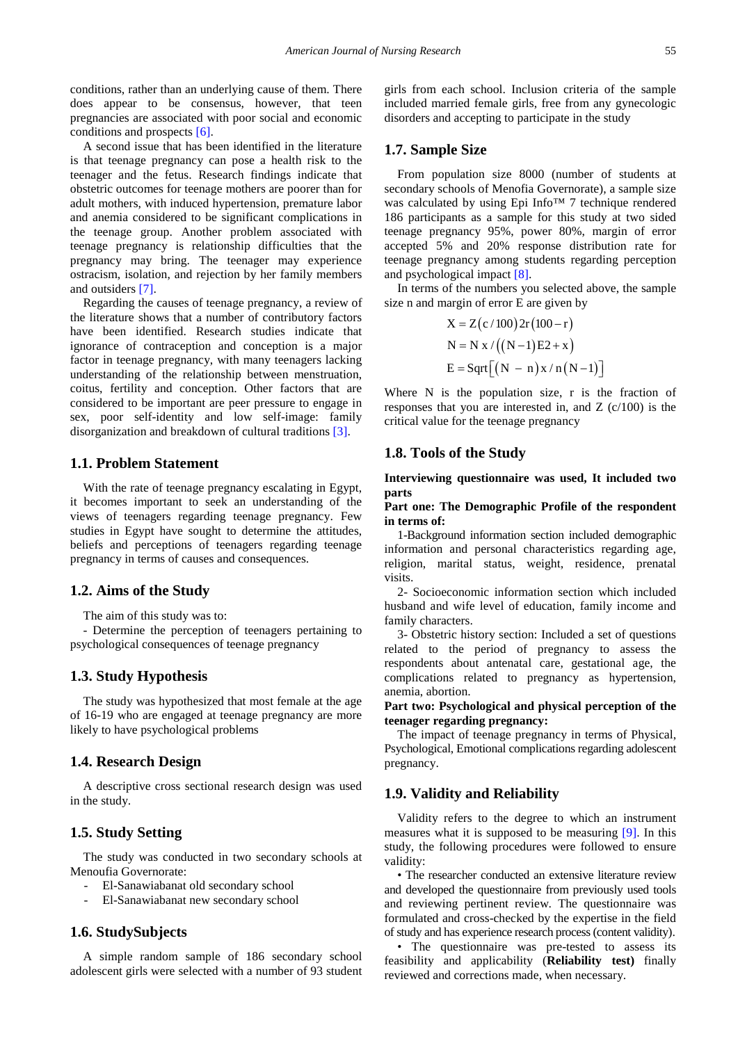conditions, rather than an underlying cause of them. There does appear to be consensus, however, that teen pregnancies are associated with poor social and economic conditions and prospects [\[6\].](#page-4-4)

A second issue that has been identified in the literature is that teenage pregnancy can pose a health risk to the teenager and the fetus. Research findings indicate that obstetric outcomes for teenage mothers are poorer than for adult mothers, with induced hypertension, premature labor and anemia considered to be significant complications in the teenage group. Another problem associated with teenage pregnancy is relationship difficulties that the pregnancy may bring. The teenager may experience ostracism, isolation, and rejection by her family members and outsiders [\[7\].](#page-4-5)

Regarding the causes of teenage pregnancy, a review of the literature shows that a number of contributory factors have been identified. Research studies indicate that ignorance of contraception and conception is a major factor in teenage pregnancy, with many teenagers lacking understanding of the relationship between menstruation, coitus, fertility and conception. Other factors that are considered to be important are peer pressure to engage in sex, poor self-identity and low self-image: family disorganization and breakdown of cultural traditions [\[3\].](#page-4-6)

## **1.1. Problem Statement**

With the rate of teenage pregnancy escalating in Egypt, it becomes important to seek an understanding of the views of teenagers regarding teenage pregnancy. Few studies in Egypt have sought to determine the attitudes, beliefs and perceptions of teenagers regarding teenage pregnancy in terms of causes and consequences.

## **1.2. Aims of the Study**

The aim of this study was to:

- Determine the perception of teenagers pertaining to psychological consequences of teenage pregnancy

## **1.3. Study Hypothesis**

The study was hypothesized that most female at the age of 16-19 who are engaged at teenage pregnancy are more likely to have psychological problems

#### **1.4. Research Design**

A descriptive cross sectional research design was used in the study.

## **1.5. Study Setting**

The study was conducted in two secondary schools at Menoufia Governorate:

- El-Sanawiabanat old secondary school
- El-Sanawiabanat new secondary school

## **1.6. StudySubjects**

A simple random sample of 186 secondary school adolescent girls were selected with a number of 93 student

girls from each school. Inclusion criteria of the sample included married female girls, free from any gynecologic disorders and accepting to participate in the study

## **1.7. Sample Size**

From population size 8000 (number of students at secondary schools of Menofia Governorate), a sample size was calculated by using Epi Info™ 7 technique rendered 186 participants as a sample for this study at two sided teenage pregnancy 95%, power 80%, margin of error accepted 5% and 20% response distribution rate for teenage pregnancy among students regarding perception and psychological impact [\[8\].](#page-4-7)

In terms of the numbers you selected above, the sample size n and margin of error E are given by

$$
X = Z(c/100) 2r(100 - r)
$$
  
N = N x / ((N - 1)E2 + x)  
E = Sqrt[(N - n)x/n(N - 1)]

Where N is the population size, r is the fraction of responses that you are interested in, and Z (c/100) is the critical value for the teenage pregnancy

## **1.8. Tools of the Study**

#### **Interviewing questionnaire was used, It included two parts**

#### **Part one: The Demographic Profile of the respondent in terms of:**

1-Background information section included demographic information and personal characteristics regarding age, religion, marital status, weight, residence, prenatal visits.

2- Socioeconomic information section which included husband and wife level of education, family income and family characters.

3- Obstetric history section: Included a set of questions related to the period of pregnancy to assess the respondents about antenatal care, gestational age, the complications related to pregnancy as hypertension, anemia, abortion.

#### **Part two: Psychological and physical perception of the teenager regarding pregnancy:**

The impact of teenage pregnancy in terms of Physical, Psychological, Emotional complications regarding adolescent pregnancy.

## **1.9. Validity and Reliability**

Validity refers to the degree to which an instrument measures what it is supposed to be measuring [\[9\].](#page-4-8) In this study, the following procedures were followed to ensure validity:

• The researcher conducted an extensive literature review and developed the questionnaire from previously used tools and reviewing pertinent review. The questionnaire was formulated and cross-checked by the expertise in the field of study and has experience research process (content validity).

• The questionnaire was pre-tested to assess its feasibility and applicability (**Reliability test)** finally reviewed and corrections made, when necessary.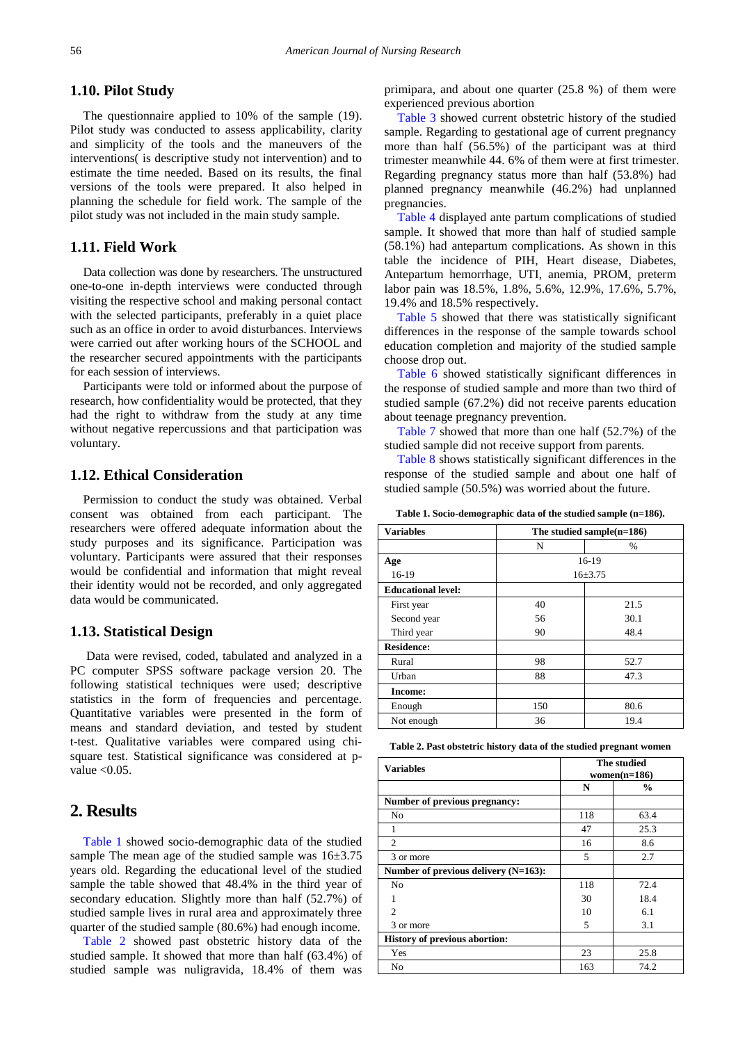#### **1.10. Pilot Study**

The questionnaire applied to 10% of the sample (19). Pilot study was conducted to assess applicability, clarity and simplicity of the tools and the maneuvers of the interventions( is descriptive study not intervention) and to estimate the time needed. Based on its results, the final versions of the tools were prepared. It also helped in planning the schedule for field work. The sample of the pilot study was not included in the main study sample.

## **1.11. Field Work**

Data collection was done by researchers. The unstructured one-to-one in-depth interviews were conducted through visiting the respective school and making personal contact with the selected participants, preferably in a quiet place such as an office in order to avoid disturbances. Interviews were carried out after working hours of the SCHOOL and the researcher secured appointments with the participants for each session of interviews.

Participants were told or informed about the purpose of research, how confidentiality would be protected, that they had the right to withdraw from the study at any time without negative repercussions and that participation was voluntary.

## **1.12. Ethical Consideration**

Permission to conduct the study was obtained. Verbal consent was obtained from each participant. The researchers were offered adequate information about the study purposes and its significance. Participation was voluntary. Participants were assured that their responses would be confidential and information that might reveal their identity would not be recorded, and only aggregated data would be communicated.

#### **1.13. Statistical Design**

Data were revised, coded, tabulated and analyzed in a PC computer SPSS software package version 20. The following statistical techniques were used; descriptive statistics in the form of frequencies and percentage. Quantitative variables were presented in the form of means and standard deviation, and tested by student t-test. Qualitative variables were compared using chisquare test. Statistical significance was considered at pvalue  $< 0.05$ .

## **2. Results**

[Table 1](#page-2-0) showed socio-demographic data of the studied sample The mean age of the studied sample was  $16\pm3.75$ years old. Regarding the educational level of the studied sample the table showed that 48.4% in the third year of secondary education. Slightly more than half (52.7%) of studied sample lives in rural area and approximately three quarter of the studied sample (80.6%) had enough income.

[Table 2](#page-2-1) showed past obstetric history data of the studied sample. It showed that more than half (63.4%) of studied sample was nuligravida, 18.4% of them was

primipara, and about one quarter (25.8 %) of them were experienced previous abortion

[Table 3](#page-3-0) showed current obstetric history of the studied sample. Regarding to gestational age of current pregnancy more than half (56.5%) of the participant was at third trimester meanwhile 44. 6% of them were at first trimester. Regarding pregnancy status more than half (53.8%) had planned pregnancy meanwhile (46.2%) had unplanned pregnancies.

[Table 4](#page-3-1) displayed ante partum complications of studied sample. It showed that more than half of studied sample (58.1%) had antepartum complications. As shown in this table the incidence of PIH, Heart disease, Diabetes, Antepartum hemorrhage, UTI, anemia, PROM, preterm labor pain was 18.5%, 1.8%, 5.6%, 12.9%, 17.6%, 5.7%, 19.4% and 18.5% respectively.

[Table 5](#page-3-2) showed that there was statistically significant differences in the response of the sample towards school education completion and majority of the studied sample choose drop out.

[Table 6](#page-3-3) showed statistically significant differences in the response of studied sample and more than two third of studied sample (67.2%) did not receive parents education about teenage pregnancy prevention.

[Table 7](#page-3-4) showed that more than one half (52.7%) of the studied sample did not receive support from parents.

[Table 8](#page-3-5) shows statistically significant differences in the response of the studied sample and about one half of studied sample (50.5%) was worried about the future.

**Table 1. Socio-demographic data of the studied sample (n=186).** 

<span id="page-2-0"></span>

| <b>Variables</b>          | The studied sample $(n=186)$ |             |  |
|---------------------------|------------------------------|-------------|--|
|                           | N                            | $\%$        |  |
| Age                       |                              | 16-19       |  |
| 16-19                     |                              | $16 + 3.75$ |  |
| <b>Educational level:</b> |                              |             |  |
| First year                | 40                           | 21.5        |  |
| Second year               | 56                           | 30.1        |  |
| Third year                | 90                           | 48.4        |  |
| <b>Residence:</b>         |                              |             |  |
| Rural                     | 98                           | 52.7        |  |
| Urban                     | 88                           | 47.3        |  |
| Income:                   |                              |             |  |
| Enough                    | 150                          | 80.6        |  |
| Not enough                | 36                           | 19.4        |  |

| Table 2. Past obstetric history data of the studied pregnant women |  |  |  |
|--------------------------------------------------------------------|--|--|--|
|--------------------------------------------------------------------|--|--|--|

<span id="page-2-1"></span>

| <b>Variables</b>                        |     | The studied<br>$women(n=186)$ |
|-----------------------------------------|-----|-------------------------------|
|                                         | N   | $\frac{0}{0}$                 |
| Number of previous pregnancy:           |     |                               |
| No                                      | 118 | 63.4                          |
|                                         | 47  | 25.3                          |
| 2                                       | 16  | 8.6                           |
| 3 or more                               | 5   | 2.7                           |
| Number of previous delivery $(N=163)$ : |     |                               |
| No                                      | 118 | 72.4                          |
|                                         | 30  | 18.4                          |
| $\mathcal{D}_{\mathcal{L}}$             | 10  | 6.1                           |
| 3 or more                               | 5   | 3.1                           |
| <b>History of previous abortion:</b>    |     |                               |
| Yes                                     | 23  | 25.8                          |
| No                                      | 163 | 74.2                          |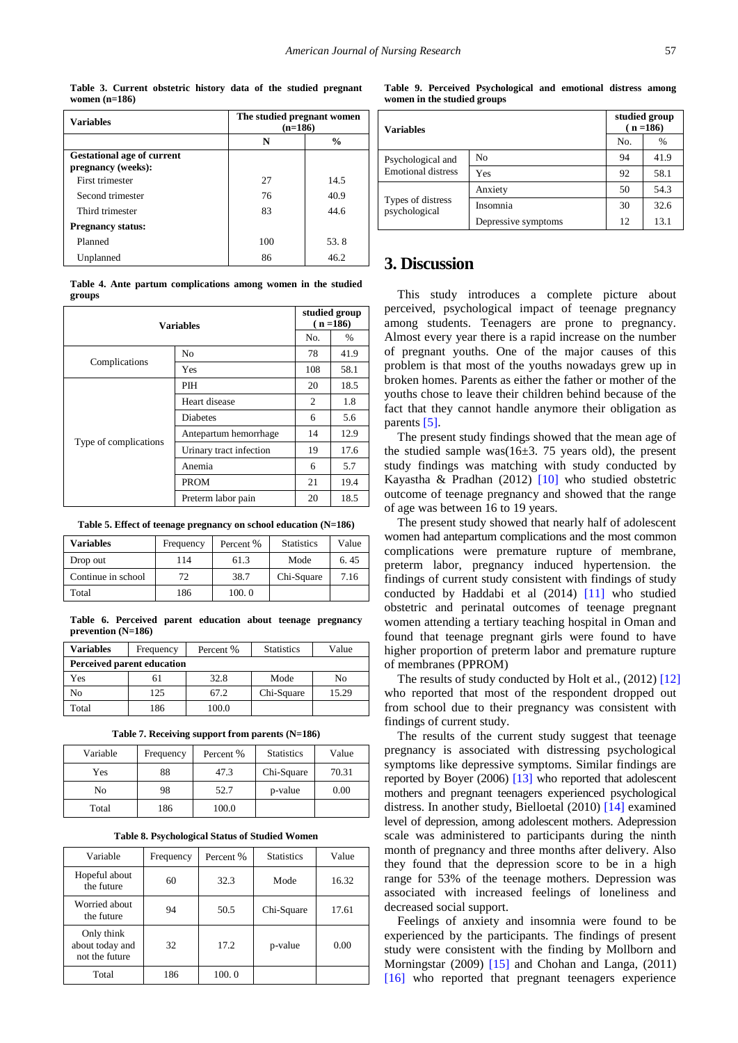**Table 3. Current obstetric history data of the studied pregnant women (n=186)**

<span id="page-3-0"></span>

| <b>Variables</b>                                        | The studied pregnant women<br>$(n=186)$ |      |  |
|---------------------------------------------------------|-----------------------------------------|------|--|
|                                                         | N<br>$\%$                               |      |  |
| <b>Gestational age of current</b><br>pregnancy (weeks): |                                         |      |  |
| First trimester                                         | 27                                      | 14.5 |  |
| Second trimester                                        | 76                                      | 40.9 |  |
| Third trimester                                         | 83                                      | 44.6 |  |
| <b>Pregnancy status:</b>                                |                                         |      |  |
| Planned                                                 | 100                                     | 53.8 |  |
| Unplanned                                               | 86                                      | 46.2 |  |

**Table 4. Ante partum complications among women in the studied groups**

<span id="page-3-1"></span>

| Variables             |                         | studied group<br>$(n = 186)$ |      |
|-----------------------|-------------------------|------------------------------|------|
|                       |                         |                              | $\%$ |
| Complications         | N <sub>0</sub>          | 78                           | 41.9 |
|                       | Yes                     | 108                          | 58.1 |
|                       | PIH                     | 20                           | 18.5 |
|                       | Heart disease           | 2                            | 1.8  |
|                       | <b>Diabetes</b>         | 6                            | 5.6  |
|                       | Antepartum hemorrhage   | 14                           | 12.9 |
| Type of complications | Urinary tract infection | 19                           | 17.6 |
|                       | Anemia                  | 6                            | 5.7  |
|                       | <b>PROM</b>             | 21                           | 19.4 |
|                       | Preterm labor pain      | 20                           | 18.5 |

**Table 5. Effect of teenage pregnancy on school education (N=186)** 

<span id="page-3-2"></span>

| <b>Variables</b>   | Frequency | Percent % | <b>Statistics</b> | Value |
|--------------------|-----------|-----------|-------------------|-------|
| Drop out           | 114       | 61.3      | Mode              | 6.45  |
| Continue in school | 72        | 38.7      | Chi-Square        | 7.16  |
| Total              | 186       | 100.0     |                   |       |

**Table 6. Perceived parent education about teenage pregnancy prevention (N=186)**

<span id="page-3-3"></span>

| <b>Variables</b>                  | Frequency | Percent % | <b>Statistics</b> | Value |
|-----------------------------------|-----------|-----------|-------------------|-------|
| <b>Perceived parent education</b> |           |           |                   |       |
| Yes                               | 61        | 32.8      | Mode              | No    |
| No                                | 125       | 67.2      | Chi-Square        | 15.29 |
| Total                             | 186       | 100.0     |                   |       |

**Table 7. Receiving support from parents (N=186)**

<span id="page-3-4"></span>

| Variable | Frequency | Percent % | <b>Statistics</b> | Value |
|----------|-----------|-----------|-------------------|-------|
| Yes      | 88        | 47.3      | Chi-Square        | 70.31 |
| No       | 98        | 52.7      | p-value           | 0.00  |
| Total    | 186       | 100.0     |                   |       |

**Table 8. Psychological Status of Studied Women**

<span id="page-3-5"></span>

| Variable                                        | Frequency | Percent % | <b>Statistics</b> | Value |
|-------------------------------------------------|-----------|-----------|-------------------|-------|
| Hopeful about<br>the future                     | 60        | 32.3      | Mode              | 16.32 |
| Worried about<br>the future                     | 94        | 50.5      | Chi-Square        | 17.61 |
| Only think<br>about today and<br>not the future | 32        | 17.2      | p-value           | 0.00  |
| Total                                           | 186       | 100.0     |                   |       |

**Table 9. Perceived Psychological and emotional distress among women in the studied groups**

| <b>Variables</b>                               |                     | studied group<br>$(n = 186)$ |      |
|------------------------------------------------|---------------------|------------------------------|------|
|                                                |                     | No.                          | %    |
| Psychological and<br><b>Emotional distress</b> | N <sub>0</sub>      | 94                           | 41.9 |
|                                                | Yes                 | 92                           | 58.1 |
|                                                | Anxiety             | 50                           | 54.3 |
| Types of distress<br>psychological             | Insomnia            | 30                           | 32.6 |
|                                                | Depressive symptoms | 12                           | 13.1 |

# **3. Discussion**

This study introduces a complete picture about perceived, psychological impact of teenage pregnancy among students. Teenagers are prone to pregnancy. Almost every year there is a rapid increase on the number of pregnant youths. One of the major causes of this problem is that most of the youths nowadays grew up in broken homes. Parents as either the father or mother of the youths chose to leave their children behind because of the fact that they cannot handle anymore their obligation as parents [\[5\].](#page-4-3)

The present study findings showed that the mean age of the studied sample was( $16±3$ . 75 years old), the present study findings was matching with study conducted by Kayastha & Pradhan (2012) [\[10\]](#page-4-9) who studied obstetric outcome of teenage pregnancy and showed that the range of age was between 16 to 19 years.

The present study showed that nearly half of adolescent women had antepartum complications and the most common complications were premature rupture of membrane, preterm labor, pregnancy induced hypertension. the findings of current study consistent with findings of study conducted by Haddabi et al (2014) [\[11\]](#page-4-10) who studied obstetric and perinatal outcomes of teenage pregnant women attending a tertiary teaching hospital in Oman and found that teenage pregnant girls were found to have higher proportion of preterm labor and premature rupture of membranes (PPROM)

The results of study conducted by Holt et al., (2012) [\[12\]](#page-4-11) who reported that most of the respondent dropped out from school due to their pregnancy was consistent with findings of current study.

The results of the current study suggest that teenage pregnancy is associated with distressing psychological symptoms like depressive symptoms. Similar findings are reported by Boyer (2006) [\[13\]](#page-4-12) who reported that adolescent mothers and pregnant teenagers experienced psychological distress. In another study, Bielloetal (2010) [\[14\]](#page-4-13) examined level of depression, among adolescent mothers. Adepression scale was administered to participants during the ninth month of pregnancy and three months after delivery. Also they found that the depression score to be in a high range for 53% of the teenage mothers. Depression was associated with increased feelings of loneliness and decreased social support.

Feelings of anxiety and insomnia were found to be experienced by the participants. The findings of present study were consistent with the finding by Mollborn and Morningstar (2009) [\[15\]](#page-4-14) and Chohan and Langa, (2011) [\[16\]](#page-4-15) who reported that pregnant teenagers experience